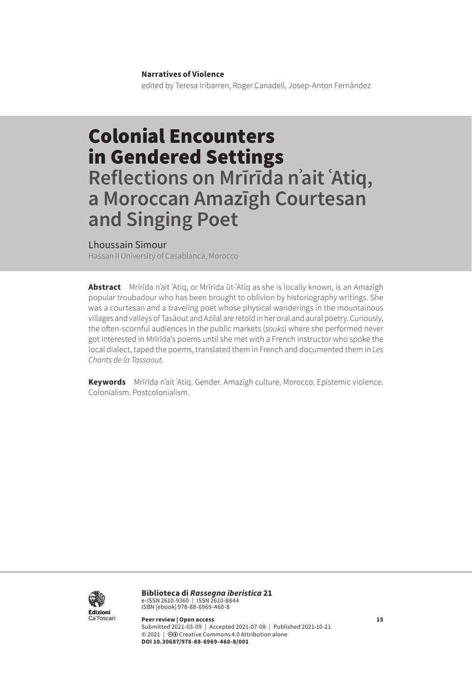#### **Narratives of Violence**

edited by Teresa Iribarren, Roger Canadell, Josep-Anton Fernàndez

# Colonial Encounters in Gendered Settings **Reflections on Mrīrīda nʾait ʿAtiq, a Moroccan Amazīgh Courtesan and Singing Poet**

### Lhoussain Simour

Hassan II University of Casablanca, Morocco

**Abstract** Mrīrīda nʾait ʿAtiq, or Mrīrīda ūt-ʿAtiq as she is locally known, is an Amazīgh popular troubadour who has been brought to oblivion by historiography writings. She was a courtesan and a traveling poet whose physical wanderings in the mountainous villages and valleys of Tasāout and Azilal are retold in her oral and aural poetry. Curiously, the often-scornful audiences in the public markets (*souks*) where she performed never got interested in Mrīrīda's poems until she met with a French instructor who spoke the local dialect, taped the poems, translated them in French and documented them in *Les Chants de la Tassaout*.

**Keywords** Mrīrīda nʾait ʿAtiq. Gender. Amazīgh culture. Morocco. Epistemic violence. Colonialism. Postcolonialism.



**Biblioteca di** *Rassegna iberistica* 21 e-ISSN 2610-9360 | ISSN 2610-8844<br>ISBN [ebook] 978-88-6969-460-8

**Peer review | Open access 15** Submitted 2021-03-09 | Accepted 2021-07-08 | Published 2021-10-21 © 2021 | @ Creative Commons 4.0 Attribution alone **DOI 10.30687/978-88-6969-460-8/001**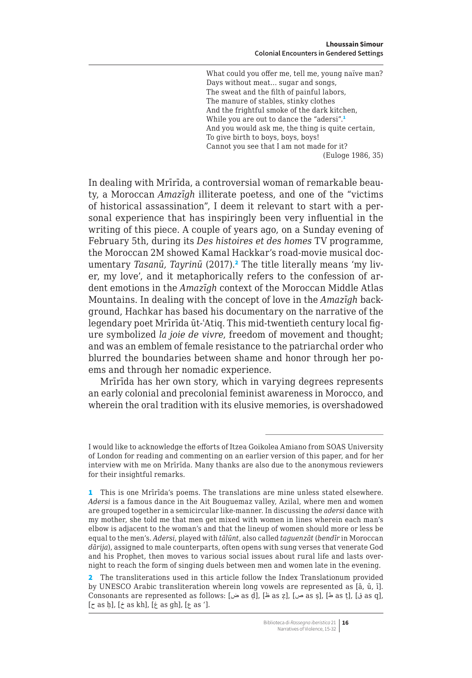What could you offer me, tell me, young naïve man? Days without meat… sugar and songs, The sweat and the filth of painful labors, The manure of stables, stinky clothes And the frightful smoke of the dark kitchen, While you are out to dance the "adersi".<sup>1</sup> And you would ask me, the thing is quite certain, To give birth to boys, boys, boys! Cannot you see that I am not made for it? (Euloge 1986, 35)

In dealing with Mrīrīda, a controversial woman of remarkable beauty, a Moroccan *Amazīgh* illiterate poetess, and one of the "victims of historical assassination", I deem it relevant to start with a personal experience that has inspiringly been very influential in the writing of this piece. A couple of years ago, on a Sunday evening of February 5th, during its *Des histoires et des homes* TV programme, the Moroccan 2M showed Kamal Hackkar's road-movie musical documentary *Tasanū, Tayrinū* (2017).<sup>2</sup> The title literally means 'my liver, my love', and it metaphorically refers to the confession of ardent emotions in the *Amazīgh* context of the Moroccan Middle Atlas Mountains. In dealing with the concept of love in the *Amazīgh* background, Hachkar has based his documentary on the narrative of the legendary poet Mrīrīda ūt-ʿAtiq. This mid-twentieth century local figure symbolized *la joie de vivre*, freedom of movement and thought; and was an emblem of female resistance to the patriarchal order who blurred the boundaries between shame and honor through her poems and through her nomadic experience.

Mrīrīda has her own story, which in varying degrees represents an early colonial and precolonial feminist awareness in Morocco, and wherein the oral tradition with its elusive memories, is overshadowed

I would like to acknowledge the efforts of Itzea Goikolea Amiano from SOAS University of London for reading and commenting on an earlier version of this paper, and for her interview with me on Mrīrīda. Many thanks are also due to the anonymous reviewers for their insightful remarks.

<sup>1</sup> This is one Mrīrīda's poems. The translations are mine unless stated elsewhere. *Adersi* is a famous dance in the Ait Bouguemaz valley, Azilal, where men and women are grouped together in a semicircular like-manner. In discussing the *adersi* dance with my mother, she told me that men get mixed with women in lines wherein each man's elbow is adjacent to the woman's and that the lineup of women should more or less be equal to the men's. *Adersi*, played with *tālūnt*, also called *taguenzāt* (*bendīr* in Moroccan *dārija*), assigned to male counterparts, often opens with sung verses that venerate God and his Prophet, then moves to various social issues about rural life and lasts overnight to reach the form of singing duels between men and women late in the evening.

<sup>2</sup> The transliterations used in this article follow the Index Translationum provided by UNESCO Arabic transliteration wherein long vowels are represented as [ā, ū, ī]. Consonants are represented as follows: [ض as ḍ], [غ as ḍ], [غ as ḍ], [غ as ḍ], [غ as q], [غ as q],  $[\zeta \text{ as }\mathfrak{h}],\, [\dot{\zeta} \text{ as }\mathfrak{kh}],\, [\dot{\xi} \text{ as }\mathfrak{gh}],\, [\xi \text{ as }'] .$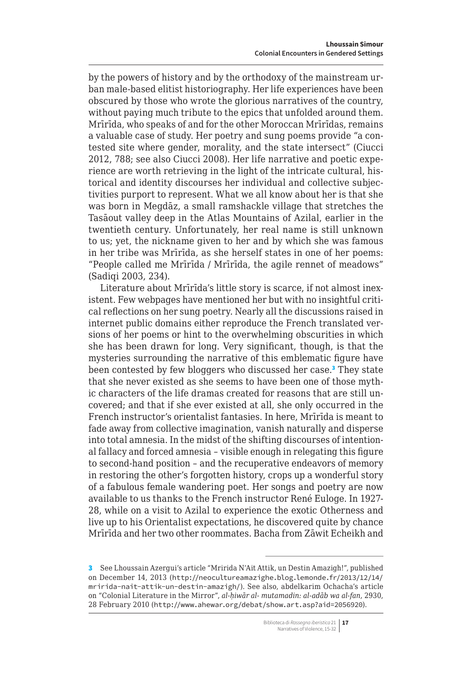by the powers of history and by the orthodoxy of the mainstream urban male-based elitist historiography. Her life experiences have been obscured by those who wrote the glorious narratives of the country, without paying much tribute to the epics that unfolded around them. Mrīrīda, who speaks of and for the other Moroccan Mrīrīdas, remains a valuable case of study. Her poetry and sung poems provide "a contested site where gender, morality, and the state intersect" (Ciucci 2012, 788; see also Ciucci 2008). Her life narrative and poetic experience are worth retrieving in the light of the intricate cultural, historical and identity discourses her individual and collective subjectivities purport to represent. What we all know about her is that she was born in Megdāz, a small ramshackle village that stretches the Tasāout valley deep in the Atlas Mountains of Azilal, earlier in the twentieth century. Unfortunately, her real name is still unknown to us; yet, the nickname given to her and by which she was famous in her tribe was Mrīrīda, as she herself states in one of her poems: "People called me Mrīrīda / Mrīrīda, the agile rennet of meadows" (Sadiqi 2003, 234).

Literature about Mrīrīda's little story is scarce, if not almost inexistent. Few webpages have mentioned her but with no insightful critical reflections on her sung poetry. Nearly all the discussions raised in internet public domains either reproduce the French translated versions of her poems or hint to the overwhelming obscurities in which she has been drawn for long. Very significant, though, is that the mysteries surrounding the narrative of this emblematic figure have been contested by few bloggers who discussed her case.<sup>3</sup> They state that she never existed as she seems to have been one of those mythic characters of the life dramas created for reasons that are still uncovered; and that if she ever existed at all, she only occurred in the French instructor's orientalist fantasies. In here, Mrīrīda is meant to fade away from collective imagination, vanish naturally and disperse into total amnesia. In the midst of the shifting discourses of intentional fallacy and forced amnesia – visible enough in relegating this figure to second-hand position – and the recuperative endeavors of memory in restoring the other's forgotten history, crops up a wonderful story of a fabulous female wandering poet. Her songs and poetry are now available to us thanks to the French instructor René Euloge. In 1927- 28, while on a visit to Azilal to experience the exotic Otherness and live up to his Orientalist expectations, he discovered quite by chance Mrīrīda and her two other roommates. Bacha from Zāwit Echeikh and

<sup>3</sup> See Lhoussain Azergui's article "Mririda N'Ait Attik, un Destin Amazigh!", published on December 14, 2013 ([http://neocultureamazighe.blog.lemonde.fr/2013/12/14/](http://neocultureamazighe.blog.lemonde.fr/2013/12/14/mririda-nait-attik-un-destin-amazigh/) [mririda-nait-attik-un-destin-amazigh/](http://neocultureamazighe.blog.lemonde.fr/2013/12/14/mririda-nait-attik-un-destin-amazigh/)). See also, abdelkarim Ochacha's article on "Colonial Literature in the Mirror", *al-ḥiwār al- mutamadin: al-adāb wa al-fan*, 2930, 28 February 2010 (<http://www.ahewar.org/debat/show.art.asp?aid=2056920>).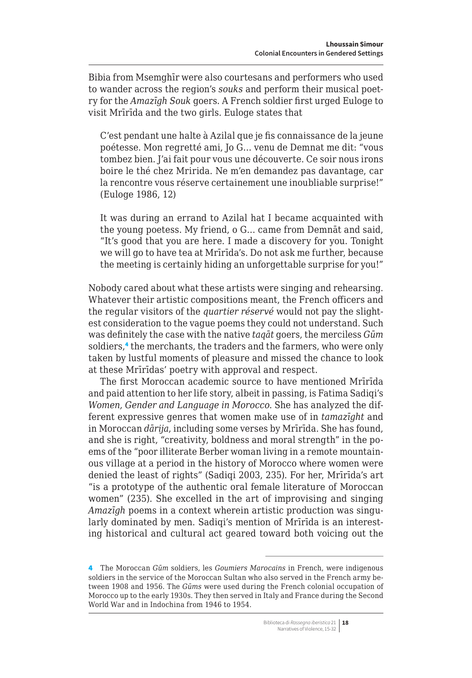Bibia from Msemghīr were also courtesans and performers who used to wander across the region's *souks* and perform their musical poetry for the *Amazīgh Souk* goers. A French soldier first urged Euloge to visit Mrīrīda and the two girls. Euloge states that

C'est pendant une halte à Azilal que je fis connaissance de la jeune poétesse. Mon regretté ami, Jo G… venu de Demnat me dit: "vous tombez bien. J'ai fait pour vous une découverte. Ce soir nous irons boire le thé chez Mririda. Ne m'en demandez pas davantage, car la rencontre vous réserve certainement une inoubliable surprise!" (Euloge 1986, 12)

It was during an errand to Azilal hat I became acquainted with the young poetess. My friend, o G… came from Demnāt and said, "It's good that you are here. I made a discovery for you. Tonight we will go to have tea at Mrīrīda's. Do not ask me further, because the meeting is certainly hiding an unforgettable surprise for you!"

Nobody cared about what these artists were singing and rehearsing. Whatever their artistic compositions meant, the French officers and the regular visitors of the *quartier réservé* would not pay the slightest consideration to the vague poems they could not understand. Such was definitely the case with the native *taqāt* goers, the merciless *Gūm* soldiers,<sup>4</sup> the merchants, the traders and the farmers, who were only taken by lustful moments of pleasure and missed the chance to look at these Mrīrīdas' poetry with approval and respect.

The first Moroccan academic source to have mentioned Mrīrīda and paid attention to her life story, albeit in passing, is Fatima Sadiqi's *Women, Gender and Language in Morocco*. She has analyzed the different expressive genres that women make use of in *tamazīght* and in Moroccan *dārija*, including some verses by Mrīrīda. She has found, and she is right, "creativity, boldness and moral strength" in the poems of the "poor illiterate Berber woman living in a remote mountainous village at a period in the history of Morocco where women were denied the least of rights" (Sadiqi 2003, 235). For her, Mrīrīda's art "is a prototype of the authentic oral female literature of Moroccan women" (235). She excelled in the art of improvising and singing *Amazīgh* poems in a context wherein artistic production was singularly dominated by men. Sadiqi's mention of Mrīrīda is an interesting historical and cultural act geared toward both voicing out the

<sup>4</sup> The Moroccan *Gūm* soldiers, les *Goumiers Marocains* in French, were indigenous soldiers in the service of the Moroccan Sultan who also served in the French army between 1908 and 1956. The *Gūms* were used during the French colonial occupation of Morocco up to the early 1930s. They then served in Italy and France during the Second World War and in Indochina from 1946 to 1954.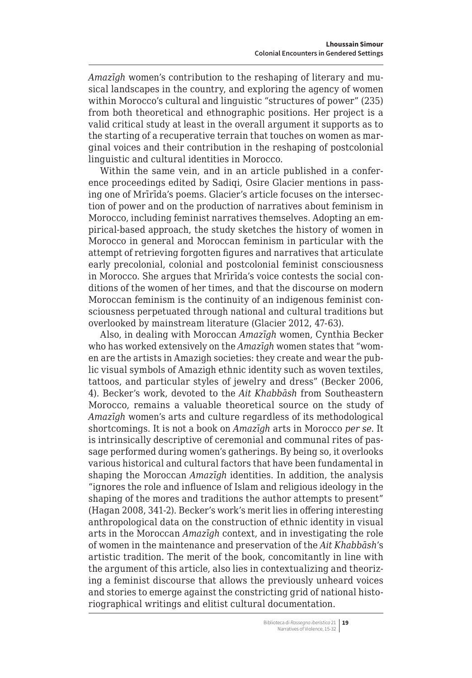*Amazīgh* women's contribution to the reshaping of literary and musical landscapes in the country, and exploring the agency of women within Morocco's cultural and linguistic "structures of power" (235) from both theoretical and ethnographic positions. Her project is a valid critical study at least in the overall argument it supports as to the starting of a recuperative terrain that touches on women as marginal voices and their contribution in the reshaping of postcolonial linguistic and cultural identities in Morocco.

Within the same vein, and in an article published in a conference proceedings edited by Sadiqi, Osire Glacier mentions in passing one of Mrīrīda's poems. Glacier's article focuses on the intersection of power and on the production of narratives about feminism in Morocco, including feminist narratives themselves. Adopting an empirical-based approach, the study sketches the history of women in Morocco in general and Moroccan feminism in particular with the attempt of retrieving forgotten figures and narratives that articulate early precolonial, colonial and postcolonial feminist consciousness in Morocco. She argues that Mrīrīda's voice contests the social conditions of the women of her times, and that the discourse on modern Moroccan feminism is the continuity of an indigenous feminist consciousness perpetuated through national and cultural traditions but overlooked by mainstream literature (Glacier 2012, 47-63).

Also, in dealing with Moroccan *Amazīgh* women, Cynthia Becker who has worked extensively on the *Amazīgh* women states that "women are the artists in Amazigh societies: they create and wear the public visual symbols of Amazigh ethnic identity such as woven textiles, tattoos, and particular styles of jewelry and dress" (Becker 2006, 4). Becker's work, devoted to the *Ait Khabbāsh* from Southeastern Morocco, remains a valuable theoretical source on the study of *Amazīgh* women's arts and culture regardless of its methodological shortcomings. It is not a book on *Amazīgh* arts in Morocco *per se*. It is intrinsically descriptive of ceremonial and communal rites of passage performed during women's gatherings. By being so, it overlooks various historical and cultural factors that have been fundamental in shaping the Moroccan *Amazīgh* identities. In addition, the analysis "ignores the role and influence of Islam and religious ideology in the shaping of the mores and traditions the author attempts to present" (Hagan 2008, 341-2). Becker's work's merit lies in offering interesting anthropological data on the construction of ethnic identity in visual arts in the Moroccan *Amazīgh* context, and in investigating the role of women in the maintenance and preservation of the *Ait Khabbāsh*'s artistic tradition. The merit of the book, concomitantly in line with the argument of this article, also lies in contextualizing and theorizing a feminist discourse that allows the previously unheard voices and stories to emerge against the constricting grid of national historiographical writings and elitist cultural documentation.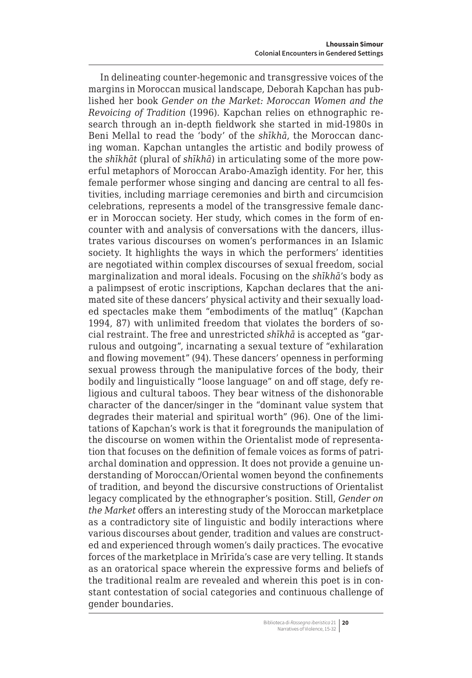In delineating counter-hegemonic and transgressive voices of the margins in Moroccan musical landscape, Deborah Kapchan has published her book *Gender on the Market: Moroccan Women and the Revoicing of Tradition* (1996). Kapchan relies on ethnographic research through an in-depth fieldwork she started in mid-1980s in Beni Mellal to read the 'body' of the *shīkhā*, the Moroccan dancing woman. Kapchan untangles the artistic and bodily prowess of the *shīkhāt* (plural of *shīkhā*) in articulating some of the more powerful metaphors of Moroccan Arabo-Amazīgh identity. For her, this female performer whose singing and dancing are central to all festivities, including marriage ceremonies and birth and circumcision celebrations, represents a model of the transgressive female dancer in Moroccan society. Her study, which comes in the form of encounter with and analysis of conversations with the dancers, illustrates various discourses on women's performances in an Islamic society. It highlights the ways in which the performers' identities are negotiated within complex discourses of sexual freedom, social marginalization and moral ideals. Focusing on the *shīkhā*'s body as a palimpsest of erotic inscriptions, Kapchan declares that the animated site of these dancers' physical activity and their sexually loaded spectacles make them "embodiments of the matluq" (Kapchan 1994, 87) with unlimited freedom that violates the borders of social restraint. The free and unrestricted *shīkhā* is accepted as "garrulous and outgoing", incarnating a sexual texture of "exhilaration and flowing movement" (94). These dancers' openness in performing sexual prowess through the manipulative forces of the body, their bodily and linguistically "loose language" on and off stage, defy religious and cultural taboos. They bear witness of the dishonorable character of the dancer/singer in the "dominant value system that degrades their material and spiritual worth" (96). One of the limitations of Kapchan's work is that it foregrounds the manipulation of the discourse on women within the Orientalist mode of representation that focuses on the definition of female voices as forms of patriarchal domination and oppression. It does not provide a genuine understanding of Moroccan/Oriental women beyond the confinements of tradition, and beyond the discursive constructions of Orientalist legacy complicated by the ethnographer's position. Still, *Gender on the Market* offers an interesting study of the Moroccan marketplace as a contradictory site of linguistic and bodily interactions where various discourses about gender, tradition and values are constructed and experienced through women's daily practices. The evocative forces of the marketplace in Mrīrīda's case are very telling. It stands as an oratorical space wherein the expressive forms and beliefs of the traditional realm are revealed and wherein this poet is in constant contestation of social categories and continuous challenge of gender boundaries.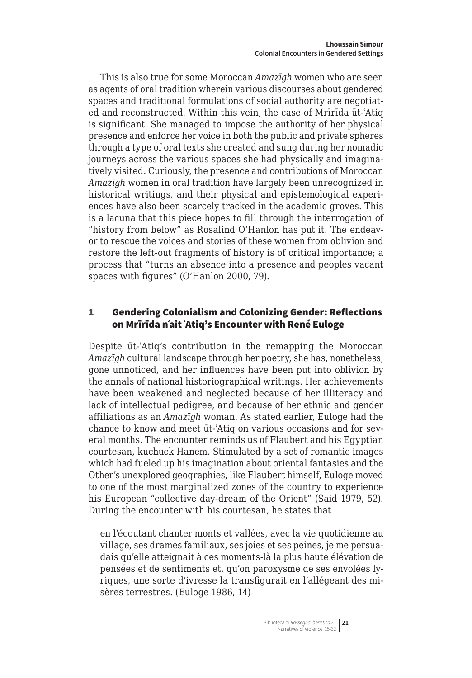This is also true for some Moroccan *Amazīgh* women who are seen as agents of oral tradition wherein various discourses about gendered spaces and traditional formulations of social authority are negotiated and reconstructed. Within this vein, the case of Mrīrīda ūt-ʿAtiq is significant. She managed to impose the authority of her physical presence and enforce her voice in both the public and private spheres through a type of oral texts she created and sung during her nomadic journeys across the various spaces she had physically and imaginatively visited. Curiously, the presence and contributions of Moroccan *Amazīgh* women in oral tradition have largely been unrecognized in historical writings, and their physical and epistemological experiences have also been scarcely tracked in the academic groves. This is a lacuna that this piece hopes to fill through the interrogation of "history from below" as Rosalind O'Hanlon has put it. The endeavor to rescue the voices and stories of these women from oblivion and restore the left-out fragments of history is of critical importance; a process that "turns an absence into a presence and peoples vacant spaces with figures" (O'Hanlon 2000, 79).

## 1 Gendering Colonialism and Colonizing Gender: Reflections on Mrīrīda nʾait ʿAtiq's Encounter with René Euloge

Despite ūt-ʿAtiq's contribution in the remapping the Moroccan *Amazīgh* cultural landscape through her poetry, she has, nonetheless, gone unnoticed, and her influences have been put into oblivion by the annals of national historiographical writings. Her achievements have been weakened and neglected because of her illiteracy and lack of intellectual pedigree, and because of her ethnic and gender affiliations as an *Amazīgh* woman. As stated earlier, Euloge had the chance to know and meet ūt-ʿAtiq on various occasions and for several months. The encounter reminds us of Flaubert and his Egyptian courtesan, kuchuck Hanem. Stimulated by a set of romantic images which had fueled up his imagination about oriental fantasies and the Other's unexplored geographies, like Flaubert himself, Euloge moved to one of the most marginalized zones of the country to experience his European "collective day-dream of the Orient" (Said 1979, 52). During the encounter with his courtesan, he states that

en l'écoutant chanter monts et vallées, avec la vie quotidienne au village, ses drames familiaux, ses joies et ses peines, je me persuadais qu'elle atteignait à ces moments-là la plus haute élévation de pensées et de sentiments et, qu'on paroxysme de ses envolées lyriques, une sorte d'ivresse la transfigurait en l'allégeant des misères terrestres. (Euloge 1986, 14)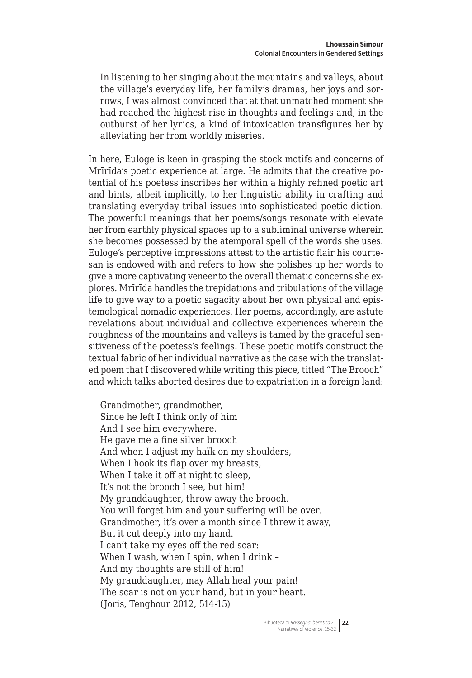In listening to her singing about the mountains and valleys, about the village's everyday life, her family's dramas, her joys and sorrows, I was almost convinced that at that unmatched moment she had reached the highest rise in thoughts and feelings and, in the outburst of her lyrics, a kind of intoxication transfigures her by alleviating her from worldly miseries.

In here, Euloge is keen in grasping the stock motifs and concerns of Mrīrīda's poetic experience at large. He admits that the creative potential of his poetess inscribes her within a highly refined poetic art and hints, albeit implicitly, to her linguistic ability in crafting and translating everyday tribal issues into sophisticated poetic diction. The powerful meanings that her poems/songs resonate with elevate her from earthly physical spaces up to a subliminal universe wherein she becomes possessed by the atemporal spell of the words she uses. Euloge's perceptive impressions attest to the artistic flair his courtesan is endowed with and refers to how she polishes up her words to give a more captivating veneer to the overall thematic concerns she explores. Mrīrīda handles the trepidations and tribulations of the village life to give way to a poetic sagacity about her own physical and epistemological nomadic experiences. Her poems, accordingly, are astute revelations about individual and collective experiences wherein the roughness of the mountains and valleys is tamed by the graceful sensitiveness of the poetess's feelings. These poetic motifs construct the textual fabric of her individual narrative as the case with the translated poem that I discovered while writing this piece, titled "The Brooch" and which talks aborted desires due to expatriation in a foreign land:

Grandmother, grandmother, Since he left I think only of him And I see him everywhere. He gave me a fine silver brooch And when I adjust my haïk on my shoulders, When I hook its flap over my breasts, When I take it off at night to sleep, It's not the brooch I see, but him! My granddaughter, throw away the brooch. You will forget him and your suffering will be over. Grandmother, it's over a month since I threw it away, But it cut deeply into my hand. I can't take my eyes off the red scar: When I wash, when I spin, when I drink – And my thoughts are still of him! My granddaughter, may Allah heal your pain! The scar is not on your hand, but in your heart. (Joris, Tenghour 2012, 514-15)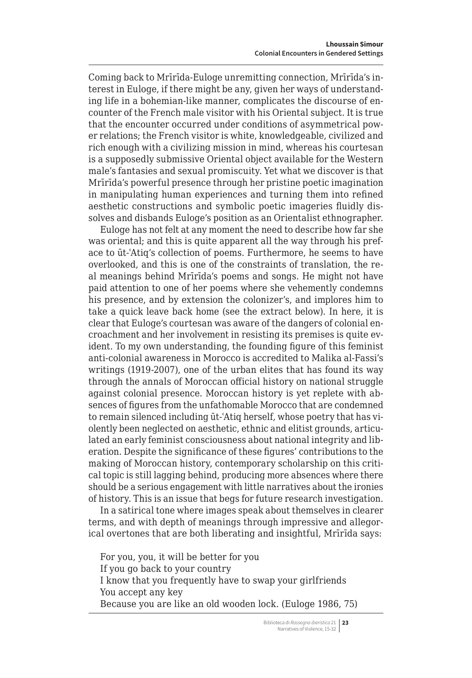Coming back to Mrīrīda-Euloge unremitting connection, Mrīrīda's interest in Euloge, if there might be any, given her ways of understanding life in a bohemian-like manner, complicates the discourse of encounter of the French male visitor with his Oriental subject. It is true that the encounter occurred under conditions of asymmetrical power relations; the French visitor is white, knowledgeable, civilized and rich enough with a civilizing mission in mind, whereas his courtesan is a supposedly submissive Oriental object available for the Western male's fantasies and sexual promiscuity. Yet what we discover is that Mrīrīda's powerful presence through her pristine poetic imagination in manipulating human experiences and turning them into refined aesthetic constructions and symbolic poetic imageries fluidly dissolves and disbands Euloge's position as an Orientalist ethnographer.

Euloge has not felt at any moment the need to describe how far she was oriental; and this is quite apparent all the way through his preface to ūt-ʿAtiq's collection of poems. Furthermore, he seems to have overlooked, and this is one of the constraints of translation, the real meanings behind Mrīrīda's poems and songs. He might not have paid attention to one of her poems where she vehemently condemns his presence, and by extension the colonizer's, and implores him to take a quick leave back home (see the extract below). In here, it is clear that Euloge's courtesan was aware of the dangers of colonial encroachment and her involvement in resisting its premises is quite evident. To my own understanding, the founding figure of this feminist anti-colonial awareness in Morocco is accredited to Malika al-Fassi's writings (1919-2007), one of the urban elites that has found its way through the annals of Moroccan official history on national struggle against colonial presence. Moroccan history is yet replete with absences of figures from the unfathomable Morocco that are condemned to remain silenced including ūt-ʿAtiq herself, whose poetry that has violently been neglected on aesthetic, ethnic and elitist grounds, articulated an early feminist consciousness about national integrity and liberation. Despite the significance of these figures' contributions to the making of Moroccan history, contemporary scholarship on this critical topic is still lagging behind, producing more absences where there should be a serious engagement with little narratives about the ironies of history. This is an issue that begs for future research investigation.

In a satirical tone where images speak about themselves in clearer terms, and with depth of meanings through impressive and allegorical overtones that are both liberating and insightful, Mrīrīda says:

For you, you, it will be better for you If you go back to your country I know that you frequently have to swap your girlfriends You accept any key Because you are like an old wooden lock. (Euloge 1986, 75)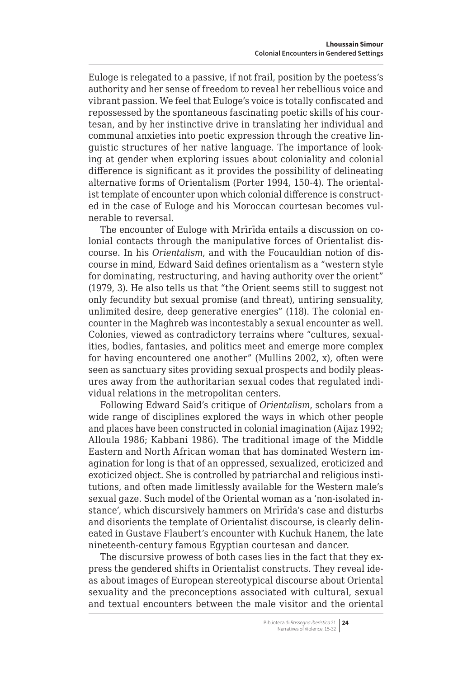Euloge is relegated to a passive, if not frail, position by the poetess's authority and her sense of freedom to reveal her rebellious voice and vibrant passion. We feel that Euloge's voice is totally confiscated and repossessed by the spontaneous fascinating poetic skills of his courtesan, and by her instinctive drive in translating her individual and communal anxieties into poetic expression through the creative linguistic structures of her native language. The importance of looking at gender when exploring issues about coloniality and colonial difference is significant as it provides the possibility of delineating alternative forms of Orientalism (Porter 1994, 150-4). The orientalist template of encounter upon which colonial difference is constructed in the case of Euloge and his Moroccan courtesan becomes vulnerable to reversal.

The encounter of Euloge with Mrīrīda entails a discussion on colonial contacts through the manipulative forces of Orientalist discourse. In his *Orientalism*, and with the Foucauldian notion of discourse in mind, Edward Said defines orientalism as a "western style for dominating, restructuring, and having authority over the orient" (1979, 3). He also tells us that "the Orient seems still to suggest not only fecundity but sexual promise (and threat), untiring sensuality, unlimited desire, deep generative energies" (118). The colonial encounter in the Maghreb was incontestably a sexual encounter as well. Colonies, viewed as contradictory terrains where "cultures, sexualities, bodies, fantasies, and politics meet and emerge more complex for having encountered one another" (Mullins 2002, x), often were seen as sanctuary sites providing sexual prospects and bodily pleasures away from the authoritarian sexual codes that regulated individual relations in the metropolitan centers.

Following Edward Said's critique of *Orientalism*, scholars from a wide range of disciplines explored the ways in which other people and places have been constructed in colonial imagination (Aijaz 1992; Alloula 1986; Kabbani 1986). The traditional image of the Middle Eastern and North African woman that has dominated Western imagination for long is that of an oppressed, sexualized, eroticized and exoticized object. She is controlled by patriarchal and religious institutions, and often made limitlessly available for the Western male's sexual gaze. Such model of the Oriental woman as a 'non-isolated instance', which discursively hammers on Mrīrīda's case and disturbs and disorients the template of Orientalist discourse, is clearly delineated in Gustave Flaubert's encounter with Kuchuk Hanem, the late nineteenth-century famous Egyptian courtesan and dancer.

The discursive prowess of both cases lies in the fact that they express the gendered shifts in Orientalist constructs. They reveal ideas about images of European stereotypical discourse about Oriental sexuality and the preconceptions associated with cultural, sexual and textual encounters between the male visitor and the oriental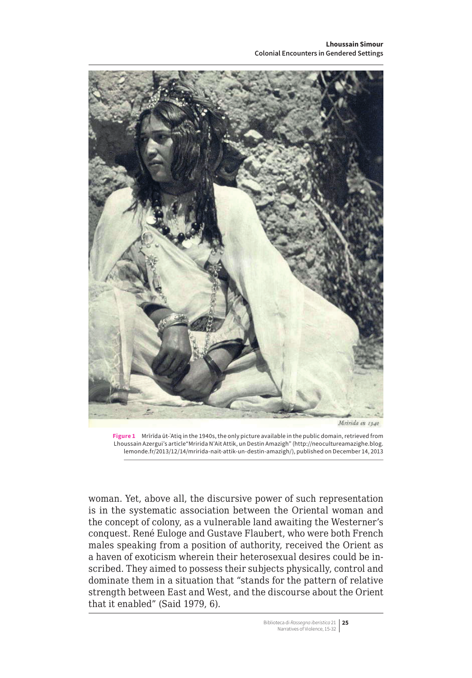

**Figure 1** Mrīrīda ūt-ʿAtiq in the 1940s, the only picture available in the public domain, retrieved from Lhoussain Azergui's article"Mririda N'Ait Attik, un Destin Amazigh" [\(http://neocultureamazighe.blog.](http://neocultureamazighe.blog.lemonde.fr/2013/12/14/mririda-nait-attik-un-destin-amazigh/) [lemonde.fr/2013/12/14/mririda-nait-attik-un-destin-amazigh/\)](http://neocultureamazighe.blog.lemonde.fr/2013/12/14/mririda-nait-attik-un-destin-amazigh/), published on December 14, 2013

woman. Yet, above all, the discursive power of such representation is in the systematic association between the Oriental woman and the concept of colony, as a vulnerable land awaiting the Westerner's conquest. René Euloge and Gustave Flaubert, who were both French males speaking from a position of authority, received the Orient as a haven of exoticism wherein their heterosexual desires could be inscribed. They aimed to possess their subjects physically, control and dominate them in a situation that "stands for the pattern of relative strength between East and West, and the discourse about the Orient that it enabled" (Said 1979, 6).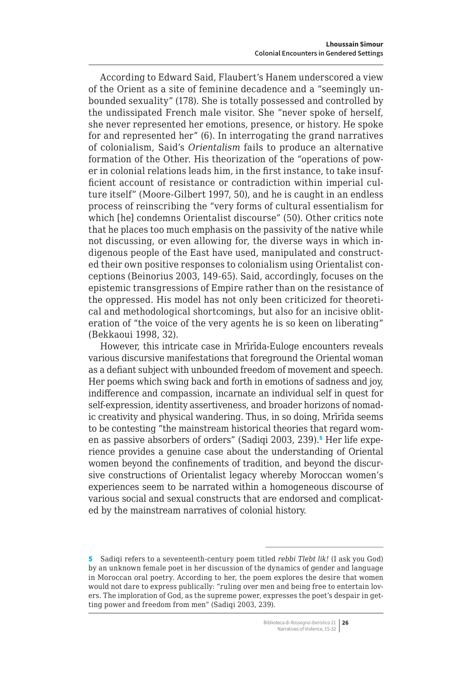According to Edward Said, Flaubert's Hanem underscored a view of the Orient as a site of feminine decadence and a "seemingly unbounded sexuality" (178). She is totally possessed and controlled by the undissipated French male visitor. She "never spoke of herself, she never represented her emotions, presence, or history. He spoke for and represented her" (6). In interrogating the grand narratives of colonialism, Said's *Orientalism* fails to produce an alternative formation of the Other. His theorization of the "operations of power in colonial relations leads him, in the first instance, to take insufficient account of resistance or contradiction within imperial culture itself" (Moore-Gilbert 1997, 50), and he is caught in an endless process of reinscribing the "very forms of cultural essentialism for which [he] condemns Orientalist discourse" (50). Other critics note that he places too much emphasis on the passivity of the native while not discussing, or even allowing for, the diverse ways in which indigenous people of the East have used, manipulated and constructed their own positive responses to colonialism using Orientalist conceptions (Beinorius 2003, 149-65). Said, accordingly, focuses on the epistemic transgressions of Empire rather than on the resistance of the oppressed. His model has not only been criticized for theoretical and methodological shortcomings, but also for an incisive obliteration of "the voice of the very agents he is so keen on liberating" (Bekkaoui 1998, 32).

However, this intricate case in Mrīrīda-Euloge encounters reveals various discursive manifestations that foreground the Oriental woman as a defiant subject with unbounded freedom of movement and speech. Her poems which swing back and forth in emotions of sadness and joy, indifference and compassion, incarnate an individual self in quest for self-expression, identity assertiveness, and broader horizons of nomadic creativity and physical wandering. Thus, in so doing, Mrīrīda seems to be contesting "the mainstream historical theories that regard women as passive absorbers of orders" (Sadiqi 2003, 239).<sup>5</sup> Her life experience provides a genuine case about the understanding of Oriental women beyond the confinements of tradition, and beyond the discursive constructions of Orientalist legacy whereby Moroccan women's experiences seem to be narrated within a homogeneous discourse of various social and sexual constructs that are endorsed and complicated by the mainstream narratives of colonial history.

Biblioteca di *Rassegna iberistica* 21 **26** Narratives of Violence, 15-32

<sup>5</sup> Sadiqi refers to a seventeenth-century poem titled *rebbi Tlebt lik!* (I ask you God) by an unknown female poet in her discussion of the dynamics of gender and language in Moroccan oral poetry. According to her, the poem explores the desire that women would not dare to express publically: "ruling over men and being free to entertain lovers. The imploration of God, as the supreme power, expresses the poet's despair in getting power and freedom from men" (Sadiqi 2003, 239).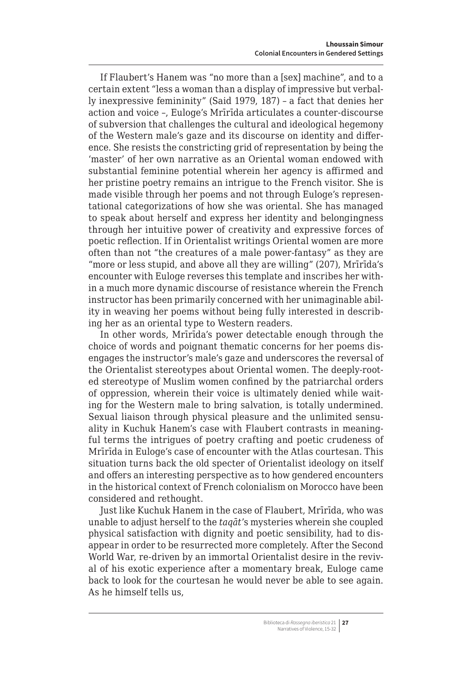If Flaubert's Hanem was "no more than a [sex] machine", and to a certain extent "less a woman than a display of impressive but verbally inexpressive femininity" (Said 1979, 187) – a fact that denies her action and voice –, Euloge's Mrīrīda articulates a counter-discourse of subversion that challenges the cultural and ideological hegemony of the Western male's gaze and its discourse on identity and difference. She resists the constricting grid of representation by being the 'master' of her own narrative as an Oriental woman endowed with substantial feminine potential wherein her agency is affirmed and her pristine poetry remains an intrigue to the French visitor. She is made visible through her poems and not through Euloge's representational categorizations of how she was oriental. She has managed to speak about herself and express her identity and belongingness through her intuitive power of creativity and expressive forces of poetic reflection. If in Orientalist writings Oriental women are more often than not "the creatures of a male power-fantasy" as they are "more or less stupid, and above all they are willing" (207), Mrīrīda's encounter with Euloge reverses this template and inscribes her within a much more dynamic discourse of resistance wherein the French instructor has been primarily concerned with her unimaginable ability in weaving her poems without being fully interested in describing her as an oriental type to Western readers.

In other words, Mrīrīda's power detectable enough through the choice of words and poignant thematic concerns for her poems disengages the instructor's male's gaze and underscores the reversal of the Orientalist stereotypes about Oriental women. The deeply-rooted stereotype of Muslim women confined by the patriarchal orders of oppression, wherein their voice is ultimately denied while waiting for the Western male to bring salvation, is totally undermined. Sexual liaison through physical pleasure and the unlimited sensuality in Kuchuk Hanem's case with Flaubert contrasts in meaningful terms the intrigues of poetry crafting and poetic crudeness of Mrīrīda in Euloge's case of encounter with the Atlas courtesan. This situation turns back the old specter of Orientalist ideology on itself and offers an interesting perspective as to how gendered encounters in the historical context of French colonialism on Morocco have been considered and rethought.

Just like Kuchuk Hanem in the case of Flaubert, Mrīrīda, who was unable to adjust herself to the *taqāt*'s mysteries wherein she coupled physical satisfaction with dignity and poetic sensibility, had to disappear in order to be resurrected more completely. After the Second World War, re-driven by an immortal Orientalist desire in the revival of his exotic experience after a momentary break, Euloge came back to look for the courtesan he would never be able to see again. As he himself tells us,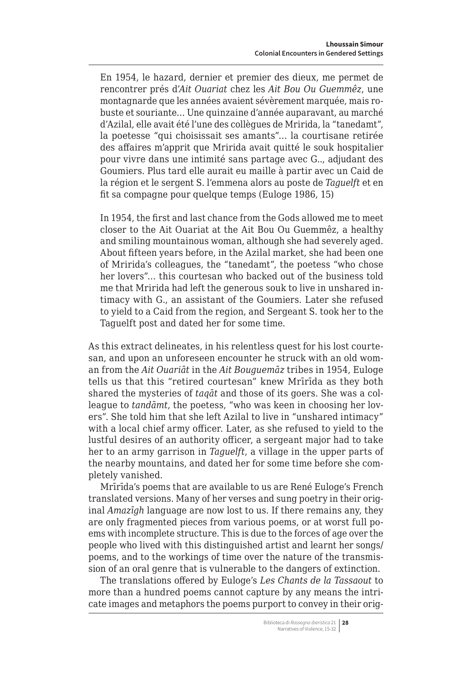En 1954, le hazard, dernier et premier des dieux, me permet de rencontrer prés d'*Ait Ouariat* chez les *Ait Bou Ou Guemmêz*, une montagnarde que les années avaient sévèrement marquée, mais robuste et souriante… Une quinzaine d'année auparavant, au marché d'Azilal, elle avait été l'une des collègues de Mririda, la "tanedamt", la poetesse "qui choisissait ses amants"… la courtisane retirée des affaires m'apprit que Mririda avait quitté le souk hospitalier pour vivre dans une intimité sans partage avec G.., adjudant des Goumiers. Plus tard elle aurait eu maille à partir avec un Caid de la région et le sergent S. l'emmena alors au poste de *Taguelft* et en fit sa compagne pour quelque temps (Euloge 1986, 15)

In 1954, the first and last chance from the Gods allowed me to meet closer to the Ait Ouariat at the Ait Bou Ou Guemmêz, a healthy and smiling mountainous woman, although she had severely aged. About fifteen years before, in the Azilal market, she had been one of Mririda's colleagues, the "tanedamt", the poetess "who chose her lovers"… this courtesan who backed out of the business told me that Mririda had left the generous souk to live in unshared intimacy with G., an assistant of the Goumiers. Later she refused to yield to a Caid from the region, and Sergeant S. took her to the Taguelft post and dated her for some time.

As this extract delineates, in his relentless quest for his lost courtesan, and upon an unforeseen encounter he struck with an old woman from the *Ait Ouariāt* in the *Ait Bouguemāz* tribes in 1954, Euloge tells us that this "retired courtesan" knew Mrīrīda as they both shared the mysteries of *taqāt* and those of its goers. She was a colleague to *tandāmt*, the poetess, "who was keen in choosing her lovers". She told him that she left Azilal to live in "unshared intimacy" with a local chief army officer. Later, as she refused to yield to the lustful desires of an authority officer, a sergeant major had to take her to an army garrison in *Taguelft*, a village in the upper parts of the nearby mountains, and dated her for some time before she completely vanished.

Mrīrīda's poems that are available to us are René Euloge's French translated versions. Many of her verses and sung poetry in their original *Amazīgh* language are now lost to us. If there remains any, they are only fragmented pieces from various poems, or at worst full poems with incomplete structure. This is due to the forces of age over the people who lived with this distinguished artist and learnt her songs/ poems, and to the workings of time over the nature of the transmission of an oral genre that is vulnerable to the dangers of extinction.

The translations offered by Euloge's *Les Chants de la Tassaout* to more than a hundred poems cannot capture by any means the intricate images and metaphors the poems purport to convey in their orig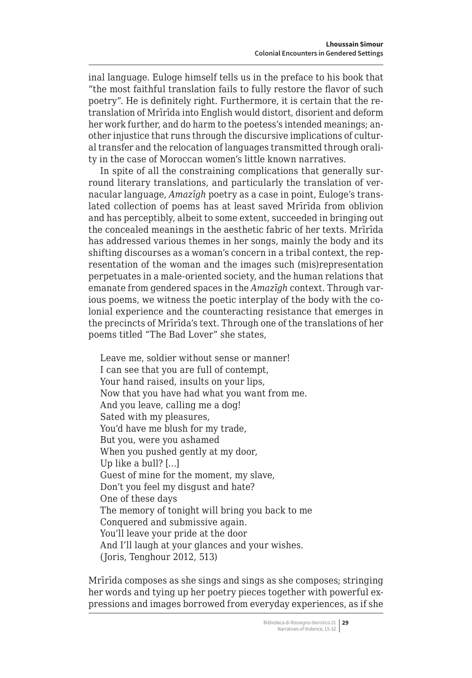inal language. Euloge himself tells us in the preface to his book that "the most faithful translation fails to fully restore the flavor of such poetry". He is definitely right. Furthermore, it is certain that the retranslation of Mrīrīda into English would distort, disorient and deform her work further, and do harm to the poetess's intended meanings; another injustice that runs through the discursive implications of cultural transfer and the relocation of languages transmitted through orality in the case of Moroccan women's little known narratives.

In spite of all the constraining complications that generally surround literary translations, and particularly the translation of vernacular language, *Amazīgh* poetry as a case in point, Euloge's translated collection of poems has at least saved Mrīrīda from oblivion and has perceptibly, albeit to some extent, succeeded in bringing out the concealed meanings in the aesthetic fabric of her texts. Mrīrīda has addressed various themes in her songs, mainly the body and its shifting discourses as a woman's concern in a tribal context, the representation of the woman and the images such (mis)representation perpetuates in a male-oriented society, and the human relations that emanate from gendered spaces in the *Amazīgh* context. Through various poems, we witness the poetic interplay of the body with the colonial experience and the counteracting resistance that emerges in the precincts of Mrīrīda's text. Through one of the translations of her poems titled "The Bad Lover" she states,

Leave me, soldier without sense or manner! I can see that you are full of contempt, Your hand raised, insults on your lips, Now that you have had what you want from me. And you leave, calling me a dog! Sated with my pleasures, You'd have me blush for my trade, But you, were you ashamed When you pushed gently at my door, Up like a bull? […] Guest of mine for the moment, my slave, Don't you feel my disgust and hate? One of these days The memory of tonight will bring you back to me Conquered and submissive again. You'll leave your pride at the door And I'll laugh at your glances and your wishes. (Joris, Tenghour 2012, 513)

Mrīrīda composes as she sings and sings as she composes; stringing her words and tying up her poetry pieces together with powerful expressions and images borrowed from everyday experiences, as if she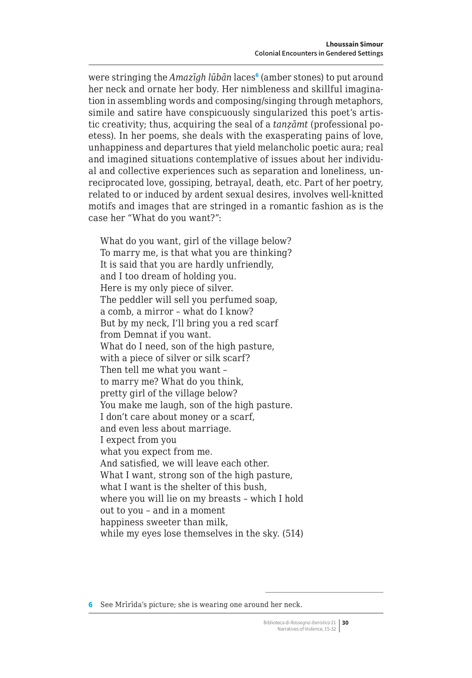were stringing the Amazīgh lūbān laces<sup>6</sup> (amber stones) to put around her neck and ornate her body. Her nimbleness and skillful imagination in assembling words and composing/singing through metaphors, simile and satire have conspicuously singularized this poet's artistic creativity; thus, acquiring the seal of a *tanẓāmt* (professional poetess). In her poems, she deals with the exasperating pains of love, unhappiness and departures that yield melancholic poetic aura; real and imagined situations contemplative of issues about her individual and collective experiences such as separation and loneliness, unreciprocated love, gossiping, betrayal, death, etc. Part of her poetry, related to or induced by ardent sexual desires, involves well-knitted motifs and images that are stringed in a romantic fashion as is the case her "What do you want?":

What do you want, girl of the village below? To marry me, is that what you are thinking? It is said that you are hardly unfriendly, and I too dream of holding you. Here is my only piece of silver. The peddler will sell you perfumed soap, a comb, a mirror – what do I know? But by my neck, I'll bring you a red scarf from Demnat if you want. What do I need, son of the high pasture, with a piece of silver or silk scarf? Then tell me what you want – to marry me? What do you think, pretty girl of the village below? You make me laugh, son of the high pasture. I don't care about money or a scarf, and even less about marriage. I expect from you what you expect from me. And satisfied, we will leave each other. What I want, strong son of the high pasture, what I want is the shelter of this bush, where you will lie on my breasts – which I hold out to you – and in a moment happiness sweeter than milk, while my eyes lose themselves in the sky. (514)

6 See Mrīrīda's picture; she is wearing one around her neck.